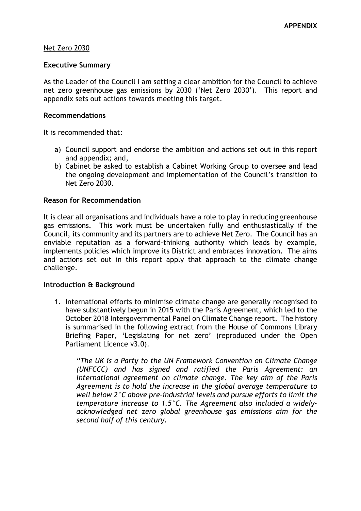### Net Zero 2030

#### **Executive Summary**

As the Leader of the Council I am setting a clear ambition for the Council to achieve net zero greenhouse gas emissions by 2030 ('Net Zero 2030'). This report and appendix sets out actions towards meeting this target.

### **Recommendations**

It is recommended that:

- a) Council support and endorse the ambition and actions set out in this report and appendix; and,
- b) Cabinet be asked to establish a Cabinet Working Group to oversee and lead the ongoing development and implementation of the Council's transition to Net Zero 2030.

### **Reason for Recommendation**

It is clear all organisations and individuals have a role to play in reducing greenhouse gas emissions. This work must be undertaken fully and enthusiastically if the Council, its community and its partners are to achieve Net Zero. The Council has an enviable reputation as a forward-thinking authority which leads by example, implements policies which improve its District and embraces innovation. The aims and actions set out in this report apply that approach to the climate change challenge.

#### **Introduction & Background**

1. International efforts to minimise climate change are generally recognised to have substantively begun in 2015 with the Paris Agreement, which led to the October 2018 Intergovernmental Panel on Climate Change report. The history is summarised in the following extract from the House of Commons Library Briefing Paper, 'Legislating for net zero' (reproduced under the Open Parliament Licence v3.0).

*"The UK is a Party to the UN Framework Convention on Climate Change (UNFCCC) and has signed and ratified the Paris Agreement: an international agreement on climate change. The key aim of the Paris Agreement is to hold the increase in the global average temperature to well below 2°C above pre-industrial levels and pursue efforts to limit the temperature increase to 1.5°C. The Agreement also included a widelyacknowledged net zero global greenhouse gas emissions aim for the second half of this century.*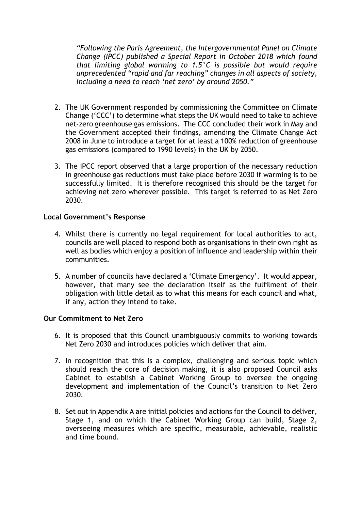*"Following the Paris Agreement, the Intergovernmental Panel on Climate Change (IPCC) published a Special Report in October 2018 which found that limiting global warming to 1.5°C is possible but would require unprecedented "rapid and far reaching" changes in all aspects of society, including a need to reach 'net zero' by around 2050."*

- 2. The UK Government responded by commissioning the Committee on Climate Change ('CCC') to determine what steps the UK would need to take to achieve net-zero greenhouse gas emissions. The CCC concluded their work in May and the Government accepted their findings, amending the Climate Change Act 2008 in June to introduce a target for at least a 100% reduction of greenhouse gas emissions (compared to 1990 levels) in the UK by 2050.
- 3. The IPCC report observed that a large proportion of the necessary reduction in greenhouse gas reductions must take place before 2030 if warming is to be successfully limited. It is therefore recognised this should be the target for achieving net zero wherever possible. This target is referred to as Net Zero 2030.

## **Local Government's Response**

- 4. Whilst there is currently no legal requirement for local authorities to act, councils are well placed to respond both as organisations in their own right as well as bodies which enjoy a position of influence and leadership within their communities.
- 5. A number of councils have declared a 'Climate Emergency'. It would appear, however, that many see the declaration itself as the fulfilment of their obligation with little detail as to what this means for each council and what, if any, action they intend to take.

# **Our Commitment to Net Zero**

- 6. It is proposed that this Council unambiguously commits to working towards Net Zero 2030 and introduces policies which deliver that aim.
- 7. In recognition that this is a complex, challenging and serious topic which should reach the core of decision making, it is also proposed Council asks Cabinet to establish a Cabinet Working Group to oversee the ongoing development and implementation of the Council's transition to Net Zero 2030.
- 8. Set out in Appendix A are initial policies and actions for the Council to deliver, Stage 1, and on which the Cabinet Working Group can build, Stage 2, overseeing measures which are specific, measurable, achievable, realistic and time bound.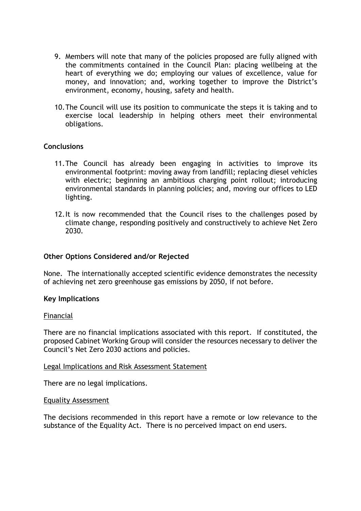- 9. Members will note that many of the policies proposed are fully aligned with the commitments contained in the Council Plan: placing wellbeing at the heart of everything we do; employing our values of excellence, value for money, and innovation; and, working together to improve the District's environment, economy, housing, safety and health.
- 10.The Council will use its position to communicate the steps it is taking and to exercise local leadership in helping others meet their environmental obligations.

## **Conclusions**

- 11.The Council has already been engaging in activities to improve its environmental footprint: moving away from landfill; replacing diesel vehicles with electric; beginning an ambitious charging point rollout; introducing environmental standards in planning policies; and, moving our offices to LED lighting.
- 12.It is now recommended that the Council rises to the challenges posed by climate change, responding positively and constructively to achieve Net Zero 2030.

## **Other Options Considered and/or Rejected**

None. The internationally accepted scientific evidence demonstrates the necessity of achieving net zero greenhouse gas emissions by 2050, if not before.

## **Key Implications**

#### Financial

There are no financial implications associated with this report. If constituted, the proposed Cabinet Working Group will consider the resources necessary to deliver the Council's Net Zero 2030 actions and policies.

#### Legal Implications and Risk Assessment Statement

There are no legal implications.

#### Equality Assessment

The decisions recommended in this report have a remote or low relevance to the substance of the Equality Act. There is no perceived impact on end users.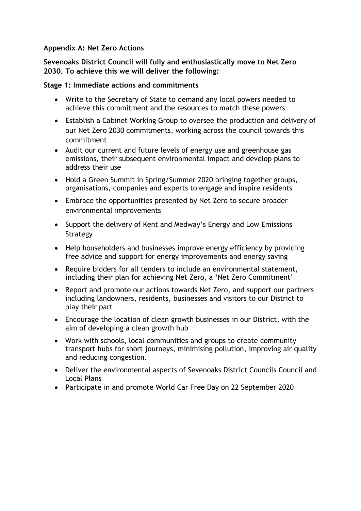## **Appendix A: Net Zero Actions**

**Sevenoaks District Council will fully and enthusiastically move to Net Zero 2030. To achieve this we will deliver the following:** 

## **Stage 1: Immediate actions and commitments**

- Write to the Secretary of State to demand any local powers needed to achieve this commitment and the resources to match these powers
- Establish a Cabinet Working Group to oversee the production and delivery of our Net Zero 2030 commitments, working across the council towards this commitment
- Audit our current and future levels of energy use and greenhouse gas emissions, their subsequent environmental impact and develop plans to address their use
- Hold a Green Summit in Spring/Summer 2020 bringing together groups, organisations, companies and experts to engage and inspire residents
- Embrace the opportunities presented by Net Zero to secure broader environmental improvements
- Support the delivery of Kent and Medway's Energy and Low Emissions Strategy
- Help householders and businesses improve energy efficiency by providing free advice and support for energy improvements and energy saving
- Require bidders for all tenders to include an environmental statement, including their plan for achieving Net Zero, a 'Net Zero Commitment'
- Report and promote our actions towards Net Zero, and support our partners including landowners, residents, businesses and visitors to our District to play their part
- Encourage the location of clean growth businesses in our District, with the aim of developing a clean growth hub
- Work with schools, local communities and groups to create community transport hubs for short journeys, minimising pollution, improving air quality and reducing congestion.
- Deliver the environmental aspects of Sevenoaks District Councils Council and Local Plans
- Participate in and promote World Car Free Day on 22 September 2020